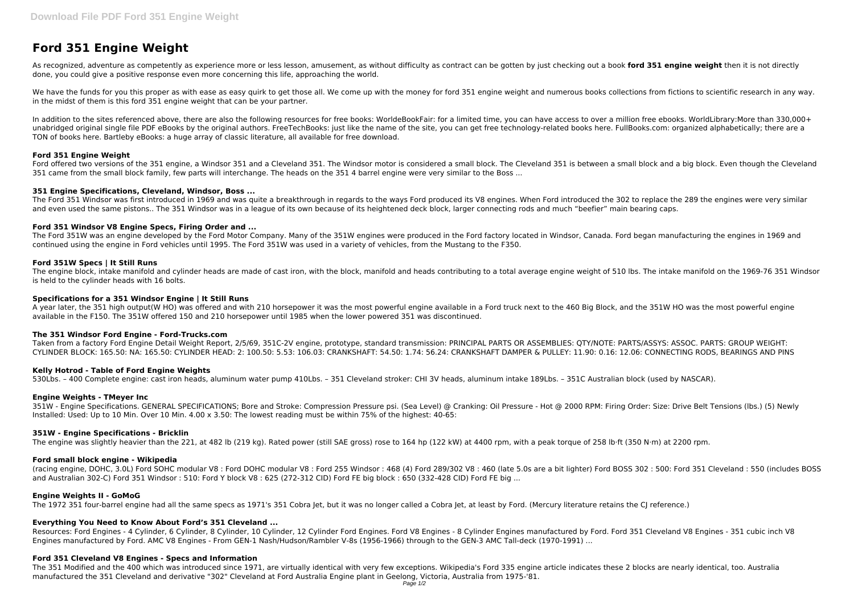# **Ford 351 Engine Weight**

As recognized, adventure as competently as experience more or less lesson, amusement, as without difficulty as contract can be gotten by just checking out a book **ford 351 engine weight** then it is not directly done, you could give a positive response even more concerning this life, approaching the world.

We have the funds for you this proper as with ease as easy quirk to get those all. We come up with the money for ford 351 engine weight and numerous books collections from fictions to scientific research in any way. in the midst of them is this ford 351 engine weight that can be your partner.

In addition to the sites referenced above, there are also the following resources for free books: WorldeBookFair: for a limited time, you can have access to over a million free ebooks. WorldLibrary:More than 330,000+ unabridged original single file PDF eBooks by the original authors. FreeTechBooks: just like the name of the site, you can get free technology-related books here. FullBooks.com: organized alphabetically; there are a TON of books here. Bartleby eBooks: a huge array of classic literature, all available for free download.

Ford offered two versions of the 351 engine, a Windsor 351 and a Cleveland 351. The Windsor motor is considered a small block. The Cleveland 351 is between a small block and a big block. Even though the Cleveland 351 came from the small block family, few parts will interchange. The heads on the 351 4 barrel engine were very similar to the Boss ...

The Ford 351 Windsor was first introduced in 1969 and was quite a breakthrough in regards to the ways Ford produced its V8 engines. When Ford introduced the 302 to replace the 289 the engines were very similar and even used the same pistons.. The 351 Windsor was in a league of its own because of its heightened deck block, larger connecting rods and much "beefier" main bearing caps.

#### **Ford 351 Engine Weight**

The engine block, intake manifold and cylinder heads are made of cast iron, with the block, manifold and heads contributing to a total average engine weight of 510 lbs. The intake manifold on the 1969-76 351 Windsor is held to the cylinder heads with 16 bolts.

### **351 Engine Specifications, Cleveland, Windsor, Boss ...**

### **Ford 351 Windsor V8 Engine Specs, Firing Order and ...**

The Ford 351W was an engine developed by the Ford Motor Company. Many of the 351W engines were produced in the Ford factory located in Windsor, Canada. Ford began manufacturing the engines in 1969 and continued using the engine in Ford vehicles until 1995. The Ford 351W was used in a variety of vehicles, from the Mustang to the F350.

### **Ford 351W Specs | It Still Runs**

#### **Specifications for a 351 Windsor Engine | It Still Runs**

A year later, the 351 high output(W HO) was offered and with 210 horsepower it was the most powerful engine available in a Ford truck next to the 460 Big Block, and the 351W HO was the most powerful engine available in the F150. The 351W offered 150 and 210 horsepower until 1985 when the lower powered 351 was discontinued.

#### **The 351 Windsor Ford Engine - Ford-Trucks.com**

Taken from a factory Ford Engine Detail Weight Report, 2/5/69, 351C-2V engine, prototype, standard transmission: PRINCIPAL PARTS OR ASSEMBLIES: QTY/NOTE: PARTS/ASSYS: ASSOC. PARTS: GROUP WEIGHT: CYLINDER BLOCK: 165.50: NA: 165.50: CYLINDER HEAD: 2: 100.50: 5.53: 106.03: CRANKSHAFT: 54.50: 1.74: 56.24: CRANKSHAFT DAMPER & PULLEY: 11.90: 0.16: 12.06: CONNECTING RODS, BEARINGS AND PINS

# **Kelly Hotrod - Table of Ford Engine Weights**

530Lbs. – 400 Complete engine: cast iron heads, aluminum water pump 410Lbs. – 351 Cleveland stroker: CHI 3V heads, aluminum intake 189Lbs. – 351C Australian block (used by NASCAR).

#### **Engine Weights - TMeyer Inc**

351W - Engine Specifications. GENERAL SPECIFICATIONS; Bore and Stroke: Compression Pressure psi. (Sea Level) @ Cranking: Oil Pressure - Hot @ 2000 RPM: Firing Order: Size: Drive Belt Tensions (lbs.) (5) Newly Installed: Used: Up to 10 Min. Over 10 Min. 4.00 x 3.50: The lowest reading must be within 75% of the highest: 40-65:

#### **351W - Engine Specifications - Bricklin**

The engine was slightly heavier than the 221, at 482 lb (219 kg). Rated power (still SAE gross) rose to 164 hp (122 kW) at 4400 rpm, with a peak torque of 258 lb⋅ft (350 N⋅m) at 2200 rpm.

#### **Ford small block engine - Wikipedia**

(racing engine, DOHC, 3.0L) Ford SOHC modular V8 : Ford DOHC modular V8 : Ford 255 Windsor : 468 (4) Ford 289/302 V8 : 460 (late 5.0s are a bit lighter) Ford BOSS 302 : 500: Ford 351 Cleveland : 550 (includes BOSS and Australian 302-C) Ford 351 Windsor : 510: Ford Y block V8 : 625 (272-312 CID) Ford FE big block : 650 (332-428 CID) Ford FE big ...

#### **Engine Weights II - GoMoG**

The 1972 351 four-barrel engine had all the same specs as 1971's 351 Cobra Jet, but it was no longer called a Cobra Jet, at least by Ford. (Mercury literature retains the CJ reference.)

# **Everything You Need to Know About Ford's 351 Cleveland ...**

Resources: Ford Engines - 4 Cylinder, 6 Cylinder, 8 Cylinder, 10 Cylinder, 12 Cylinder Ford Engines. Ford V8 Engines - 8 Cylinder Engines manufactured by Ford. Ford 351 Cleveland V8 Engines - 351 cubic inch V8 Engines manufactured by Ford. AMC V8 Engines - From GEN-1 Nash/Hudson/Rambler V-8s (1956-1966) through to the GEN-3 AMC Tall-deck (1970-1991) ...

#### **Ford 351 Cleveland V8 Engines - Specs and Information**

The 351 Modified and the 400 which was introduced since 1971, are virtually identical with very few exceptions. Wikipedia's Ford 335 engine article indicates these 2 blocks are nearly identical, too. Australia manufactured the 351 Cleveland and derivative "302" Cleveland at Ford Australia Engine plant in Geelong, Victoria, Australia from 1975-'81.